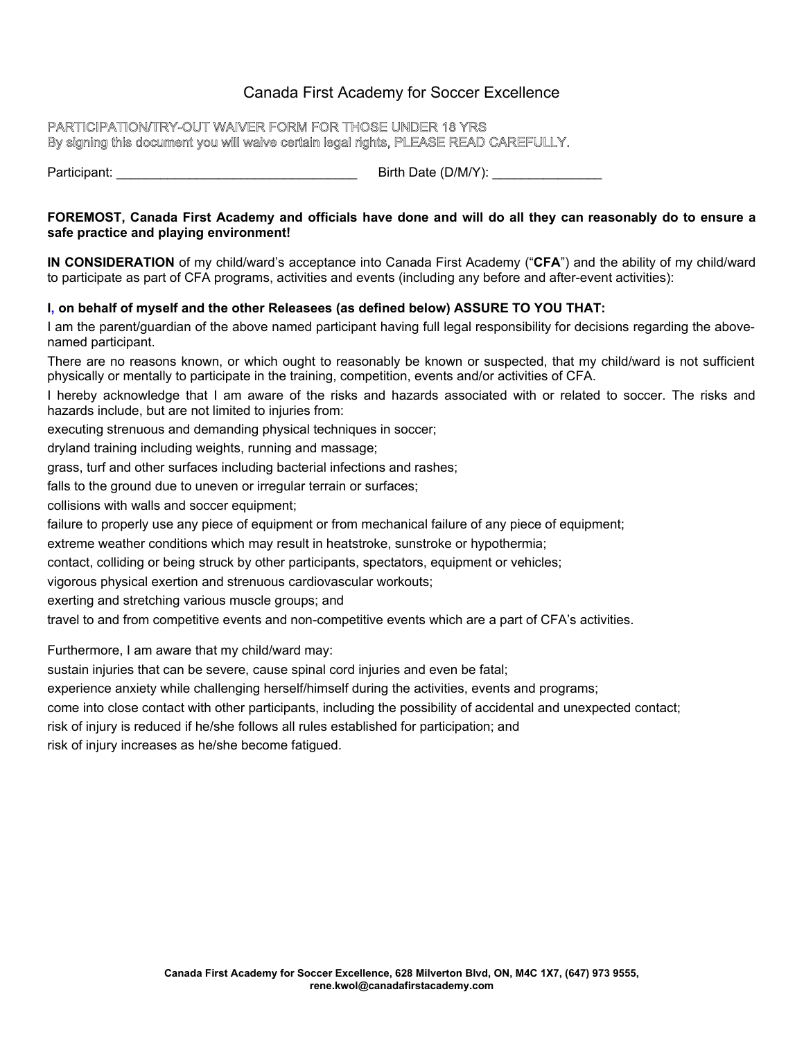# Canada First Academy for Soccer Excellence

### PARTICIPATION/TRY-OUT WAIVER FORM FOR THOSE UNDER 18 YRS By signing this document you will waive certain legal rights, PLEASE READ CAREFULLY.

Participant: \_\_\_\_\_\_\_\_\_\_\_\_\_\_\_\_\_\_\_\_\_\_\_\_\_\_\_\_\_\_\_\_\_ Birth Date (D/M/Y): \_\_\_\_\_\_\_\_\_\_\_\_\_\_\_

### **FOREMOST, Canada First Academy and officials have done and will do all they can reasonably do to ensure a safe practice and playing environment!**

**IN CONSIDERATION** of my child/ward's acceptance into Canada First Academy ("**CFA**") and the ability of my child/ward to participate as part of CFA programs, activities and events (including any before and after-event activities):

## **I, on behalf of myself and the other Releasees (as defined below) ASSURE TO YOU THAT:**

I am the parent/guardian of the above named participant having full legal responsibility for decisions regarding the abovenamed participant.

There are no reasons known, or which ought to reasonably be known or suspected, that my child/ward is not sufficient physically or mentally to participate in the training, competition, events and/or activities of CFA.

I hereby acknowledge that I am aware of the risks and hazards associated with or related to soccer. The risks and hazards include, but are not limited to injuries from:

executing strenuous and demanding physical techniques in soccer;

dryland training including weights, running and massage;

grass, turf and other surfaces including bacterial infections and rashes;

falls to the ground due to uneven or irregular terrain or surfaces;

collisions with walls and soccer equipment;

failure to properly use any piece of equipment or from mechanical failure of any piece of equipment;

extreme weather conditions which may result in heatstroke, sunstroke or hypothermia;

contact, colliding or being struck by other participants, spectators, equipment or vehicles;

vigorous physical exertion and strenuous cardiovascular workouts;

exerting and stretching various muscle groups; and

travel to and from competitive events and non-competitive events which are a part of CFA's activities.

Furthermore, I am aware that my child/ward may:

sustain injuries that can be severe, cause spinal cord injuries and even be fatal;

experience anxiety while challenging herself/himself during the activities, events and programs;

come into close contact with other participants, including the possibility of accidental and unexpected contact;

risk of injury is reduced if he/she follows all rules established for participation; and

risk of injury increases as he/she become fatigued.